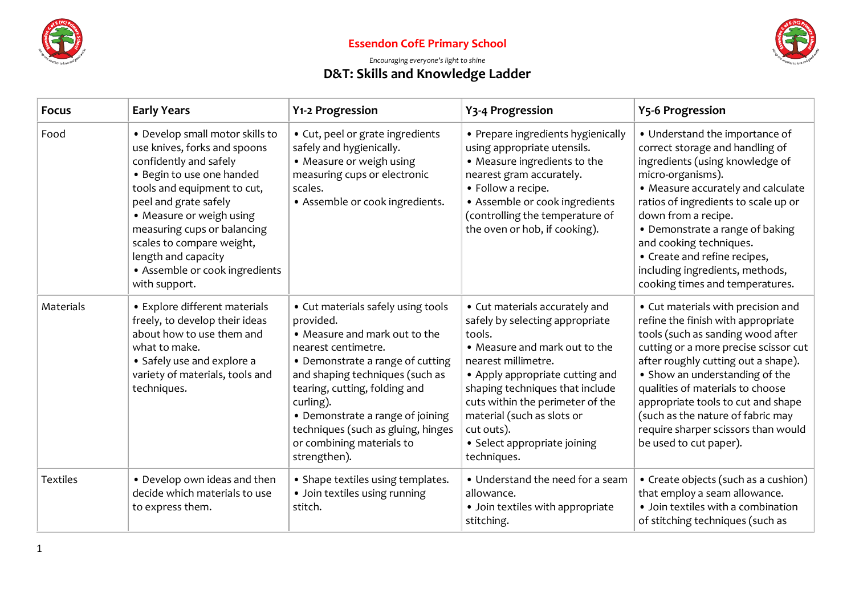



### *Encouraging everyone's light to shine* **D&T: Skills and Knowledge Ladder**

| <b>Focus</b>    | <b>Early Years</b>                                                                                                                                                                                                                                                                                                                               | Y1-2 Progression                                                                                                                                                                                                                                                                                                                                    | Y3-4 Progression                                                                                                                                                                                                                                                                                                                         | <b>Y5-6 Progression</b>                                                                                                                                                                                                                                                                                                                                                                                         |
|-----------------|--------------------------------------------------------------------------------------------------------------------------------------------------------------------------------------------------------------------------------------------------------------------------------------------------------------------------------------------------|-----------------------------------------------------------------------------------------------------------------------------------------------------------------------------------------------------------------------------------------------------------------------------------------------------------------------------------------------------|------------------------------------------------------------------------------------------------------------------------------------------------------------------------------------------------------------------------------------------------------------------------------------------------------------------------------------------|-----------------------------------------------------------------------------------------------------------------------------------------------------------------------------------------------------------------------------------------------------------------------------------------------------------------------------------------------------------------------------------------------------------------|
| Food            | • Develop small motor skills to<br>use knives, forks and spoons<br>confidently and safely<br>• Begin to use one handed<br>tools and equipment to cut,<br>peel and grate safely<br>• Measure or weigh using<br>measuring cups or balancing<br>scales to compare weight,<br>length and capacity<br>• Assemble or cook ingredients<br>with support. | • Cut, peel or grate ingredients<br>safely and hygienically.<br>• Measure or weigh using<br>measuring cups or electronic<br>scales.<br>• Assemble or cook ingredients.                                                                                                                                                                              | • Prepare ingredients hygienically<br>using appropriate utensils.<br>• Measure ingredients to the<br>nearest gram accurately.<br>• Follow a recipe.<br>• Assemble or cook ingredients<br>(controlling the temperature of<br>the oven or hob, if cooking).                                                                                | • Understand the importance of<br>correct storage and handling of<br>ingredients (using knowledge of<br>micro-organisms).<br>• Measure accurately and calculate<br>ratios of ingredients to scale up or<br>down from a recipe.<br>• Demonstrate a range of baking<br>and cooking techniques.<br>• Create and refine recipes,<br>including ingredients, methods,<br>cooking times and temperatures.              |
| Materials       | • Explore different materials<br>freely, to develop their ideas<br>about how to use them and<br>what to make.<br>• Safely use and explore a<br>variety of materials, tools and<br>techniques.                                                                                                                                                    | • Cut materials safely using tools<br>provided.<br>• Measure and mark out to the<br>nearest centimetre.<br>• Demonstrate a range of cutting<br>and shaping techniques (such as<br>tearing, cutting, folding and<br>curling).<br>• Demonstrate a range of joining<br>techniques (such as gluing, hinges<br>or combining materials to<br>strengthen). | • Cut materials accurately and<br>safely by selecting appropriate<br>tools.<br>• Measure and mark out to the<br>nearest millimetre.<br>• Apply appropriate cutting and<br>shaping techniques that include<br>cuts within the perimeter of the<br>material (such as slots or<br>cut outs).<br>• Select appropriate joining<br>techniques. | • Cut materials with precision and<br>refine the finish with appropriate<br>tools (such as sanding wood after<br>cutting or a more precise scissor cut<br>after roughly cutting out a shape).<br>• Show an understanding of the<br>qualities of materials to choose<br>appropriate tools to cut and shape<br>(such as the nature of fabric may<br>require sharper scissors than would<br>be used to cut paper). |
| <b>Textiles</b> | • Develop own ideas and then<br>decide which materials to use<br>to express them.                                                                                                                                                                                                                                                                | • Shape textiles using templates.<br>· Join textiles using running<br>stitch.                                                                                                                                                                                                                                                                       | • Understand the need for a seam<br>allowance.<br>• Join textiles with appropriate<br>stitching.                                                                                                                                                                                                                                         | • Create objects (such as a cushion)<br>that employ a seam allowance.<br>• Join textiles with a combination<br>of stitching techniques (such as                                                                                                                                                                                                                                                                 |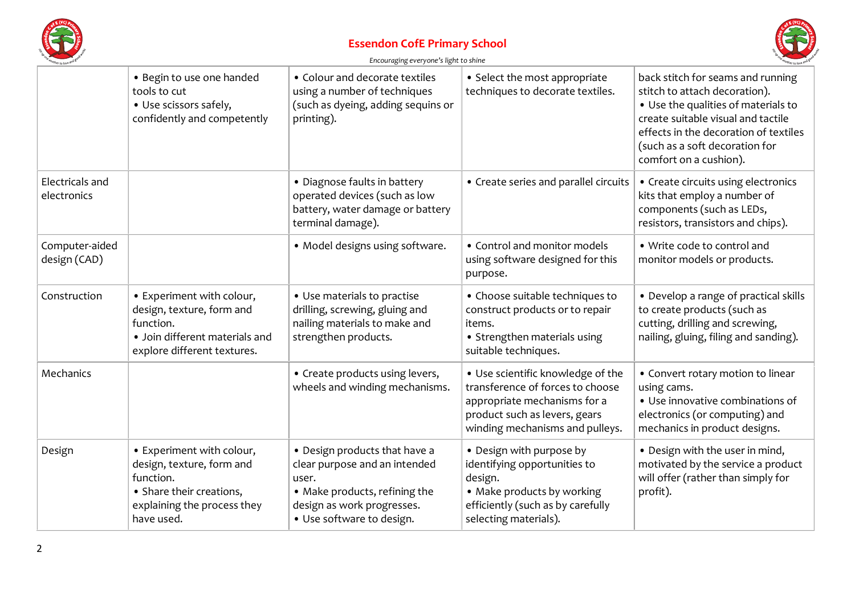



*Encouraging everyone's light to shine*

| ver to love.                   |                                                                                                                                              |                                                                                                                                                                     |                                                                                                                                                                           |                                                                                                                                                                                                                                                      |
|--------------------------------|----------------------------------------------------------------------------------------------------------------------------------------------|---------------------------------------------------------------------------------------------------------------------------------------------------------------------|---------------------------------------------------------------------------------------------------------------------------------------------------------------------------|------------------------------------------------------------------------------------------------------------------------------------------------------------------------------------------------------------------------------------------------------|
|                                | • Begin to use one handed<br>tools to cut<br>• Use scissors safely,<br>confidently and competently                                           | • Colour and decorate textiles<br>using a number of techniques<br>(such as dyeing, adding sequins or<br>printing).                                                  | • Select the most appropriate<br>techniques to decorate textiles.                                                                                                         | back stitch for seams and running<br>stitch to attach decoration).<br>• Use the qualities of materials to<br>create suitable visual and tactile<br>effects in the decoration of textiles<br>(such as a soft decoration for<br>comfort on a cushion). |
| Electricals and<br>electronics |                                                                                                                                              | • Diagnose faults in battery<br>operated devices (such as low<br>battery, water damage or battery<br>terminal damage).                                              | • Create series and parallel circuits                                                                                                                                     | • Create circuits using electronics<br>kits that employ a number of<br>components (such as LEDs,<br>resistors, transistors and chips).                                                                                                               |
| Computer-aided<br>design (CAD) |                                                                                                                                              | • Model designs using software.                                                                                                                                     | • Control and monitor models<br>using software designed for this<br>purpose.                                                                                              | . Write code to control and<br>monitor models or products.                                                                                                                                                                                           |
| Construction                   | • Experiment with colour,<br>design, texture, form and<br>function.<br>· Join different materials and<br>explore different textures.         | • Use materials to practise<br>drilling, screwing, gluing and<br>nailing materials to make and<br>strengthen products.                                              | • Choose suitable techniques to<br>construct products or to repair<br>items.<br>• Strengthen materials using<br>suitable techniques.                                      | • Develop a range of practical skills<br>to create products (such as<br>cutting, drilling and screwing,<br>nailing, gluing, filing and sanding).                                                                                                     |
| Mechanics                      |                                                                                                                                              | • Create products using levers,<br>wheels and winding mechanisms.                                                                                                   | • Use scientific knowledge of the<br>transference of forces to choose<br>appropriate mechanisms for a<br>product such as levers, gears<br>winding mechanisms and pulleys. | • Convert rotary motion to linear<br>using cams.<br>• Use innovative combinations of<br>electronics (or computing) and<br>mechanics in product designs.                                                                                              |
| Design                         | • Experiment with colour,<br>design, texture, form and<br>function.<br>• Share their creations,<br>explaining the process they<br>have used. | • Design products that have a<br>clear purpose and an intended<br>user.<br>• Make products, refining the<br>design as work progresses.<br>• Use software to design. | • Design with purpose by<br>identifying opportunities to<br>design.<br>• Make products by working<br>efficiently (such as by carefully<br>selecting materials).           | • Design with the user in mind,<br>motivated by the service a product<br>will offer (rather than simply for<br>profit).                                                                                                                              |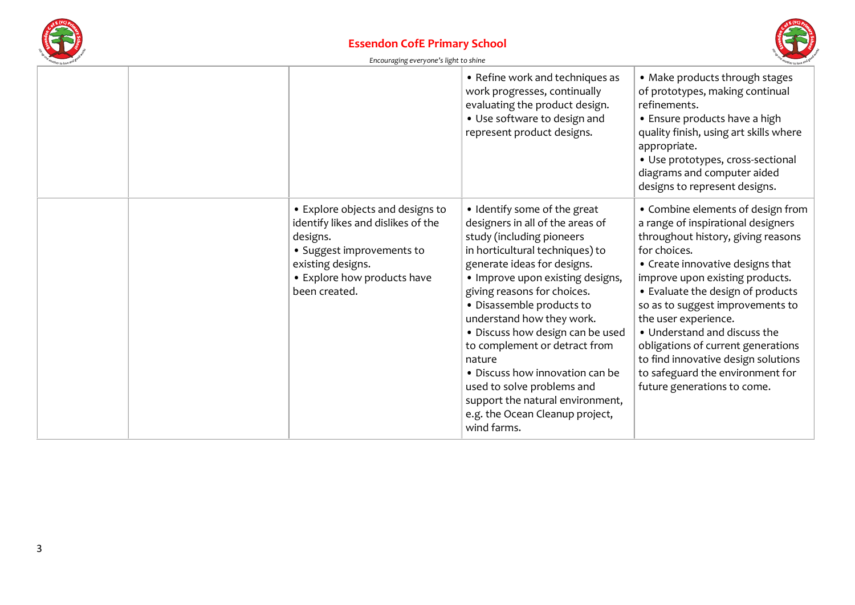



| Encouraging everyone's light to shine |
|---------------------------------------|
|---------------------------------------|

|                                                                                                                                                                                      | • Refine work and techniques as<br>work progresses, continually<br>evaluating the product design.<br>• Use software to design and<br>represent product designs.                                                                                                                                                                                                                                                                                                                                                                    | • Make products through stages<br>of prototypes, making continual<br>refinements.<br>• Ensure products have a high<br>quality finish, using art skills where<br>appropriate.<br>• Use prototypes, cross-sectional<br>diagrams and computer aided<br>designs to represent designs.                                                                                                                                                                                                     |
|--------------------------------------------------------------------------------------------------------------------------------------------------------------------------------------|------------------------------------------------------------------------------------------------------------------------------------------------------------------------------------------------------------------------------------------------------------------------------------------------------------------------------------------------------------------------------------------------------------------------------------------------------------------------------------------------------------------------------------|---------------------------------------------------------------------------------------------------------------------------------------------------------------------------------------------------------------------------------------------------------------------------------------------------------------------------------------------------------------------------------------------------------------------------------------------------------------------------------------|
| • Explore objects and designs to<br>identify likes and dislikes of the<br>designs.<br>• Suggest improvements to<br>existing designs.<br>• Explore how products have<br>been created. | • Identify some of the great<br>designers in all of the areas of<br>study (including pioneers<br>in horticultural techniques) to<br>generate ideas for designs.<br>• Improve upon existing designs,<br>giving reasons for choices.<br>· Disassemble products to<br>understand how they work.<br>· Discuss how design can be used<br>to complement or detract from<br>nature<br>• Discuss how innovation can be<br>used to solve problems and<br>support the natural environment,<br>e.g. the Ocean Cleanup project,<br>wind farms. | • Combine elements of design from<br>a range of inspirational designers<br>throughout history, giving reasons<br>for choices.<br>• Create innovative designs that<br>improve upon existing products.<br>• Evaluate the design of products<br>so as to suggest improvements to<br>the user experience.<br>• Understand and discuss the<br>obligations of current generations<br>to find innovative design solutions<br>to safeguard the environment for<br>future generations to come. |